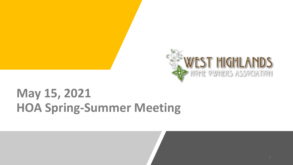

# **May 15, 2021 HOA Spring-Summer Meeting**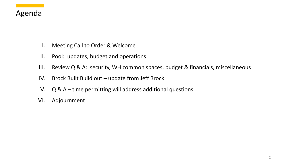## Agenda

- I. Meeting Call to Order & Welcome
- II. Pool: updates, budget and operations
- III. Review Q & A: security, WH common spaces, budget & financials, miscellaneous
- IV. Brock Built Build out update from Jeff Brock
- V. Q & A time permitting will address additional questions
- VI. Adjournment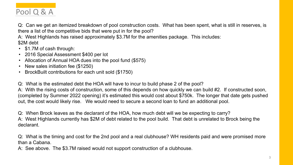## Pool Q & A

Q: Can we get an itemized breakdown of pool construction costs. What has been spent, what is still in reserves, is there a list of the competitive bids that were put in for the pool?

A: West Highlands has raised approximately \$3.7M for the amenities package. This includes: \$2M debt

- \$1.7M of cash through:
- 2016 Special Assessment \$400 per lot
- Allocation of Annual HOA dues into the pool fund (\$575)
- New sales initiation fee (\$1250)
- BrockBuilt contributions for each unit sold (\$1750)

Q: What is the estimated debt the HOA will have to incur to build phase 2 of the pool?

A: With the rising costs of construction, some of this depends on how quickly we can build #2. If constructed soon, (completed by Summer 2022 opening) it's estimated this would cost about \$750k. The longer that date gets pushed out, the cost would likely rise. We would need to secure a second loan to fund an additional pool.

Q: When Brock leaves as the declarant of the HOA, how much debt will we be expecting to carry? A: West Highlands currently has \$2M of debt related to the pool build. That debt is unrelated to Brock being the declarant.

Q: What is the timing and cost for the 2nd pool and a real clubhouse? WH residents paid and were promised more than a Cabana.

A: See above. The \$3.7M raised would not support construction of a clubhouse.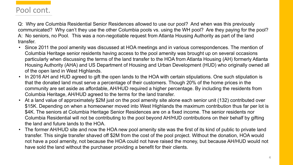Q: Why are Columbia Residential Senior Residences allowed to use our pool? And when was this previously communicated? Why can't they use the other Columbia pools vs. using the WH pool? Are they paying for the pool? A: No seniors, no Pool. This was a non-negotiable request from Atlanta Housing Authority as part of the land transfer.

- Since 2011 the pool amenity was discussed at HOA meetings and in various correspondences. The mention of Columbia Heritage senior residents having access to the pool amenity was brought up on several occasions particularly when discussing the terms of the land transfer to the HOA from Atlanta Housing (AH) formerly Atlanta Housing Authority (AHA) and US Department of Housing and Urban Development (HUD) who originally owned all of the open land in West Highlands.
- In 2016 AH and HUD agreed to gift the open lands to the HOA with certain stipulations. One such stipulation is that the donated land must serve a percentage of their customers. Though 20% of the home prices in the community are set aside as affordable, AH/HUD required a higher percentage. By including the residents from Columbia Heritage, AH/HUD agreed to the terms for the land transfer.
- At a land value of approximately \$2M just on the pool amenity site alone each senior unit (132) contributed over \$15K. Depending on when a homeowner moved into West Highlands the maximum contribution thus far per lot is \$4K. The seniors at Columbia Heritage Senior Residences are on a fixed income. The senior residents nor Columbia Residential will not be contributing to the pool beyond AH/HUD contributions on their behalf by gifting the land and future lands to the HOA.
- The former AH/HUD site and now the HOA new pool amenity site was the first of its kind of public to private land transfer. This single transfer shaved off \$2M from the cost of the pool project. Without the donation, HOA would not have a pool amenity, not because the HOA could not have raised the money, but because AH/HUD would not have sold the land without the purchaser providing a benefit for their clients.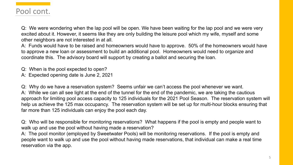Q: We were wondering when the lap pool will be open. We have been waiting for the lap pool and we were very excited about it. However, it seems like they are only building the leisure pool which my wife, myself and some other neighbors are not interested in at all.

A: Funds would have to be raised and homeowners would have to approve. 50% of the homeowners would have to approve a new loan or assessment to build an additional pool. Homeowners would need to organize and coordinate this. The advisory board will support by creating a ballot and securing the loan.

Q: When is the pool expected to open?

A: Expected opening date is June 2, 2021

Q: Why do we have a reservation system? Seems unfair we can't access the pool whenever we want. A: While we can all see light at the end of the tunnel for the end of the pandemic, we are taking the cautious approach for limiting pool access capacity to 125 individuals for the 2021 Pool Season. The reservation system will help us achieve the 125 max occupancy. The reservation system will be set up for multi-hour blocks ensuring that far more than 125 individuals can enjoy the pool each day.

Q: Who will be responsible for monitoring reservations? What happens if the pool is empty and people want to walk up and use the pool without having made a reservation?

A: The pool monitor (employed by Sweetwater Pools) will be monitoring reservations. If the pool is empty and people want to walk up and use the pool without having made reservations, that individual can make a real time reservation via the app.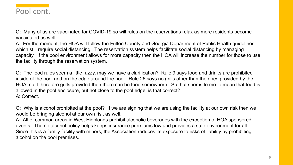Q: Many of us are vaccinated for COVID-19 so will rules on the reservations relax as more residents become vaccinated as well:

A: For the moment, the HOA will follow the Fulton County and Georgia Department of Public Health guidelines which still require social distancing. The reservation system helps facilitate social distancing by managing capacity. If the pool environment allows for more capacity then the HOA will increase the number for those to use the facility through the reservation system.

Q: The food rules seem a little fuzzy, may we have a clarification? Rule 9 says food and drinks are prohibited inside of the pool and on the edge around the pool. Rule 26 says no grills other than the ones provided by the HOA, so if there are grills provided then there can be food somewhere. So that seems to me to mean that food is allowed in the pool enclosure, but not close to the pool edge, is that correct? A: Correct.

Q: Why is alcohol prohibited at the pool? If we are signing that we are using the facility at our own risk then we would be bringing alcohol at our own risk as well.

A: All of common areas in West Highlands prohibit alcoholic beverages with the exception of HOA sponsored events. The no alcohol policy helps keeps insurance premiums low and provides a safe environment for all. Since this is a family facility with minors, the Association reduces its exposure to risks of liability by prohibiting alcohol on the pool premises.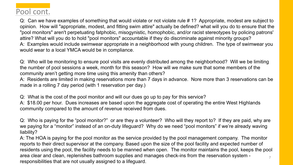Q: Can we have examples of something that would violate or not violate rule # 1? Appropriate, modest are subject to opinion. How will "appropriate, modest, and fitting swim attire" actually be defined? what will you do to ensure that the "pool monitors" aren't perpetuating fatphobic, misogynistic, homophobic, and/or racist stereotypes by policing patrons' attire? What will you do to hold "pool monitors" accountable if they do discriminate against minority groups? A: Examples would include swimwear appropriate in a neighborhood with young children. The type of swimwear you would wear to a local YMCA would be in compliance.

Q: Who will be monitoring to ensure pool visits are evenly distributed among the neighborhood? Will we be limiting the number of pool sessions a week, month for this season? How will we make sure that some members of the community aren't getting more time using this amenity than others?

A: Residents are limited in making reservations more than 7 days in advance. Nore more than 3 reservations can be made in a rolling 7 day period (with 1 reservation per day.)

Q: What is the cost of the pool monitor and will our dues go up to pay for this service?

A: \$18.00 per hour. Dues increases are based upon the aggregate cost of operating the entire West Highlands community compared to the amount of revenue received from dues.

Q: Who is paying for the "pool monitor?" or are they a volunteer? Who will they report to? If they are paid, why are we paying for a "monitor" instead of an on-duty lifeguard? Why do we need "pool monitors" if we're already waving liability?

7 A: The HOA is paying for the pool monitor as the service provided by the pool management company. The monitor reports to their direct supervisor at the company. Based upon the size of the pool facility and expected number of residents using the pool, the facility needs to be manned when open. The monitor maintains the pool, keeps the pool area clear and clean, replenishes bathroom supplies and manages check-ins from the reservation system responsibilities that are not usually assigned to a lifeguard.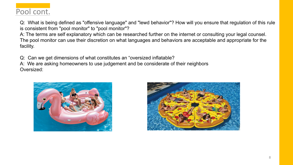Q: What is being defined as "offensive language" and "lewd behavior"? How will you ensure that regulation of this rule is consistent from "pool monitor" to "pool monitor"?

A: The terms are self explanatory which can be researched further on the internet or consulting your legal counsel. The pool monitor can use their discretion on what languages and behaviors are acceptable and appropriate for the facility.

Q: Can we get dimensions of what constitutes an "oversized inflatable?

A: We are asking homeowners to use judgement and be considerate of their neighbors Oversized:



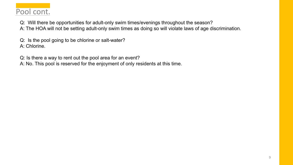Q: Will there be opportunities for adult-only swim times/evenings throughout the season?

A: The HOA will not be setting adult-only swim times as doing so will violate laws of age discrimination.

Q: Is the pool going to be chlorine or salt-water? A: Chlorine.

Q: Is there a way to rent out the pool area for an event?

A: No. This pool is reserved for the enjoyment of only residents at this time.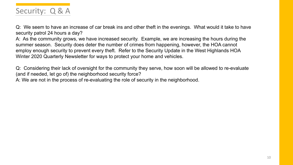

Q: We seem to have an increase of car break ins and other theft in the evenings. What would it take to have security patrol 24 hours a day?

A: As the community grows, we have increased security. Example, we are increasing the hours during the summer season. Security does deter the number of crimes from happening, however, the HOA cannot employ enough security to prevent every theft. Refer to the Security Update in the West Highlands HOA Winter 2020 Quarterly Newsletter for ways to protect your home and vehicles.

Q: Considering their lack of oversight for the community they serve, how soon will be allowed to re-evaluate (and if needed, let go of) the neighborhood security force?

A: We are not in the process of re-evaluating the role of security in the neighborhood.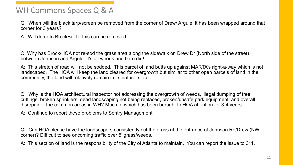## WH Commons Spaces Q & A

Q: When will the black tarp/screen be removed from the corner of Drew/ Argule, it has been wrapped around that corner for 3 years?

A: Will defer to BrockBuilt if this can be removed.

Q: Why has Brock/HOA not re-sod the grass area along the sidewalk on Drew Dr (North side of the street) between Johnson and Argule. It's all weeds and bare dirt!

A: This stretch of road will not be sodded. This parcel of land butts up against MARTA's right-a-way which is not landscaped. The HOA will keep the land cleared for overgrowth but similar to other open parcels of land in the community, the land will relatively remain in its natural state.

Q: Why is the HOA architectural inspector not addressing the overgrowth of weeds, illegal dumping of tree cuttings, broken sprinklers, dead landscaping not being replaced, broken/unsafe park equipment, and overall disrepair of the common areas in WH? Much of which has been brought to HOA attention for 3-4 years.

A: Continue to report these problems to Sentry Management.

Q: Can HOA please have the landscapers consistently cut the grass at the entrance of Johnson Rd/Drew (NW corner)? Difficult to see oncoming traffic over 5' grass/weeds.

A: This section of land is the responsibility of the City of Atlanta to maintain. You can report the issue to 311.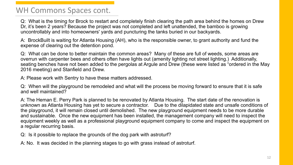#### WH Commons Spaces cont.

Q: What is the timing for Brock to restart and completely finish clearing the path area behind the homes on Drew Dr, it's been 2 years? Because the project was not completed and left unattended, the bamboo is growing uncontrollably and into homeowners' yards and puncturing the tanks buried in our backyards.

A: BrockBuilt is waiting for Atlanta Housing (AH), who is the responsible owner, to grant authority and fund the expense of clearing out the detention pond.

Q: What can be done to better maintain the common areas? Many of these are full of weeds, some areas are overrun with carpenter bees and others often have lights out (amenity lighting not street lighting.) Additionally, seating benches have not been added to the pergolas at Argule and Drew (these were listed as "ordered in the May 2016 meeting) and Stanfield and Drew.

A: Please work with Sentry to have these matters addressed.

Q: When will the playground be remodeled and what will the process be moving forward to ensure that it is safe and well maintained?

A: The Heman E. Perry Park is planned to be renovated by Atlanta Housing. The start date of the renovation is unknown as Atlanta Housing has yet to secure a contractor. Due to the dilapidated state and unsafe conditions of the playground, it will remain closed until demolished. The new playground equipment needs to be more durable and sustainable. Once the new equipment has been installed, the management company will need to inspect the equipment weekly as well as a professional playground equipment company to come and inspect the equipment on a regular recurring basis.

Q: Is it possible to replace the grounds of the dog park with astroturf?

A: No. It was decided in the planning stages to go with grass instead of astroturf.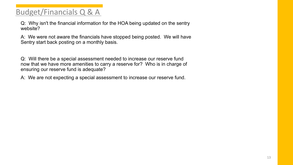## Budget/Financials Q & A

Q: Why isn't the financial information for the HOA being updated on the sentry website?

A: We were not aware the financials have stopped being posted. We will have Sentry start back posting on a monthly basis.

Q: Will there be a special assessment needed to increase our reserve fund now that we have more amenities to carry a reserve for? Who is in charge of ensuring our reserve fund is adequate?

A: We are not expecting a special assessment to increase our reserve fund.